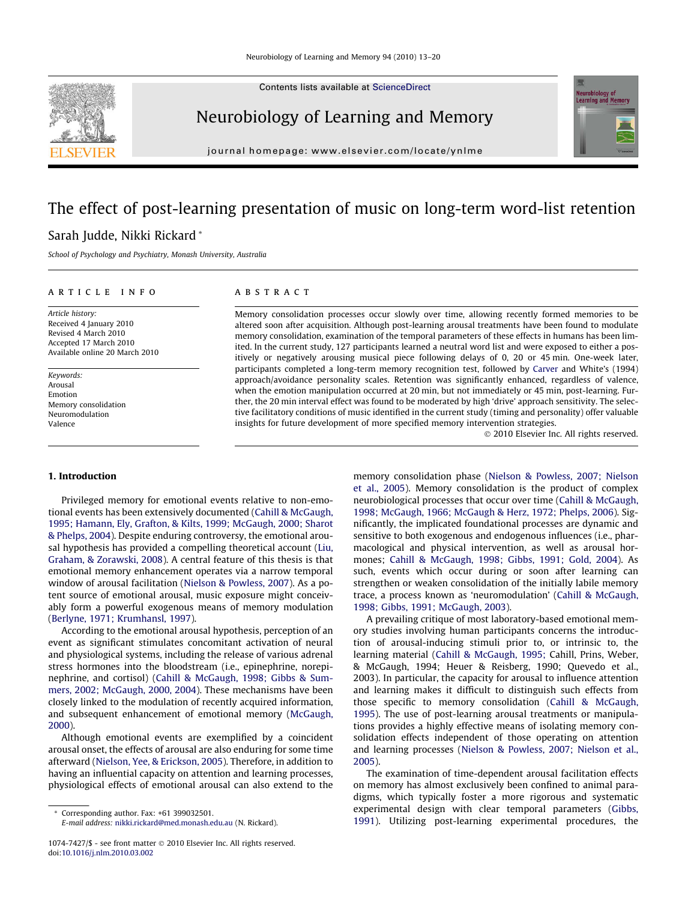Contents lists available at [ScienceDirect](http://www.sciencedirect.com/science/journal/10747427)



## Neurobiology of Learning and Memory

journal homepage: [www.elsevier.com/locate/ynlme](http://www.elsevier.com/locate/ynlme)

# The effect of post-learning presentation of music on long-term word-list retention Sarah Judde, Nikki Rickard \*

School of Psychology and Psychiatry, Monash University, Australia

## article info

Article history: Received 4 January 2010 Revised 4 March 2010 Accepted 17 March 2010 Available online 20 March 2010

Keywords: Arousal Emotion Memory consolidation Neuromodulation Valence

## **ABSTRACT**

Memory consolidation processes occur slowly over time, allowing recently formed memories to be altered soon after acquisition. Although post-learning arousal treatments have been found to modulate memory consolidation, examination of the temporal parameters of these effects in humans has been limited. In the current study, 127 participants learned a neutral word list and were exposed to either a positively or negatively arousing musical piece following delays of 0, 20 or 45 min. One-week later, participants completed a long-term memory recognition test, followed by [Carver](#page-6-0) and White's (1994) approach/avoidance personality scales. Retention was significantly enhanced, regardless of valence, when the emotion manipulation occurred at 20 min, but not immediately or 45 min, post-learning. Further, the 20 min interval effect was found to be moderated by high 'drive' approach sensitivity. The selective facilitatory conditions of music identified in the current study (timing and personality) offer valuable insights for future development of more specified memory intervention strategies.

- 2010 Elsevier Inc. All rights reserved.

#### 1. Introduction

Privileged memory for emotional events relative to non-emotional events has been extensively documented ([Cahill & McGaugh,](#page-6-0) [1995; Hamann, Ely, Grafton, & Kilts, 1999; McGaugh, 2000; Sharot](#page-6-0) [& Phelps, 2004\)](#page-6-0). Despite enduring controversy, the emotional arousal hypothesis has provided a compelling theoretical account [\(Liu,](#page-6-0) [Graham, & Zorawski, 2008\)](#page-6-0). A central feature of this thesis is that emotional memory enhancement operates via a narrow temporal window of arousal facilitation [\(Nielson & Powless, 2007\)](#page-6-0). As a potent source of emotional arousal, music exposure might conceivably form a powerful exogenous means of memory modulation ([Berlyne, 1971; Krumhansl, 1997](#page-6-0)).

According to the emotional arousal hypothesis, perception of an event as significant stimulates concomitant activation of neural and physiological systems, including the release of various adrenal stress hormones into the bloodstream (i.e., epinephrine, norepinephrine, and cortisol) [\(Cahill & McGaugh, 1998; Gibbs & Sum](#page-6-0)[mers, 2002; McGaugh, 2000, 2004\)](#page-6-0). These mechanisms have been closely linked to the modulation of recently acquired information, and subsequent enhancement of emotional memory ([McGaugh,](#page-6-0) [2000](#page-6-0)).

Although emotional events are exemplified by a coincident arousal onset, the effects of arousal are also enduring for some time afterward ([Nielson, Yee, & Erickson, 2005](#page-6-0)). Therefore, in addition to having an influential capacity on attention and learning processes, physiological effects of emotional arousal can also extend to the

E-mail address: [nikki.rickard@med.monash.edu.au](mailto:nikki.rickard@med.monash.edu.au) (N. Rickard).

memory consolidation phase ([Nielson & Powless, 2007; Nielson](#page-6-0) [et al., 2005\)](#page-6-0). Memory consolidation is the product of complex neurobiological processes that occur over time ([Cahill & McGaugh,](#page-6-0) [1998; McGaugh, 1966; McGaugh & Herz, 1972; Phelps, 2006\)](#page-6-0). Significantly, the implicated foundational processes are dynamic and sensitive to both exogenous and endogenous influences (i.e., pharmacological and physical intervention, as well as arousal hormones; [Cahill & McGaugh, 1998; Gibbs, 1991; Gold, 2004](#page-6-0)). As such, events which occur during or soon after learning can strengthen or weaken consolidation of the initially labile memory trace, a process known as 'neuromodulation' ([Cahill & McGaugh,](#page-6-0) [1998; Gibbs, 1991; McGaugh, 2003\)](#page-6-0).

A prevailing critique of most laboratory-based emotional memory studies involving human participants concerns the introduction of arousal-inducing stimuli prior to, or intrinsic to, the learning material [\(Cahill & McGaugh, 1995;](#page-6-0) Cahill, Prins, Weber, & McGaugh, 1994; Heuer & Reisberg, 1990; Quevedo et al., 2003). In particular, the capacity for arousal to influence attention and learning makes it difficult to distinguish such effects from those specific to memory consolidation ([Cahill & McGaugh,](#page-6-0) [1995\)](#page-6-0). The use of post-learning arousal treatments or manipulations provides a highly effective means of isolating memory consolidation effects independent of those operating on attention and learning processes ([Nielson & Powless, 2007; Nielson et al.,](#page-6-0) [2005](#page-6-0)).

The examination of time-dependent arousal facilitation effects on memory has almost exclusively been confined to animal paradigms, which typically foster a more rigorous and systematic experimental design with clear temporal parameters [\(Gibbs,](#page-6-0) [1991\)](#page-6-0). Utilizing post-learning experimental procedures, the

Corresponding author. Fax: +61 399032501.

<sup>1074-7427/\$ -</sup> see front matter © 2010 Elsevier Inc. All rights reserved. doi[:10.1016/j.nlm.2010.03.002](http://dx.doi.org/10.1016/j.nlm.2010.03.002)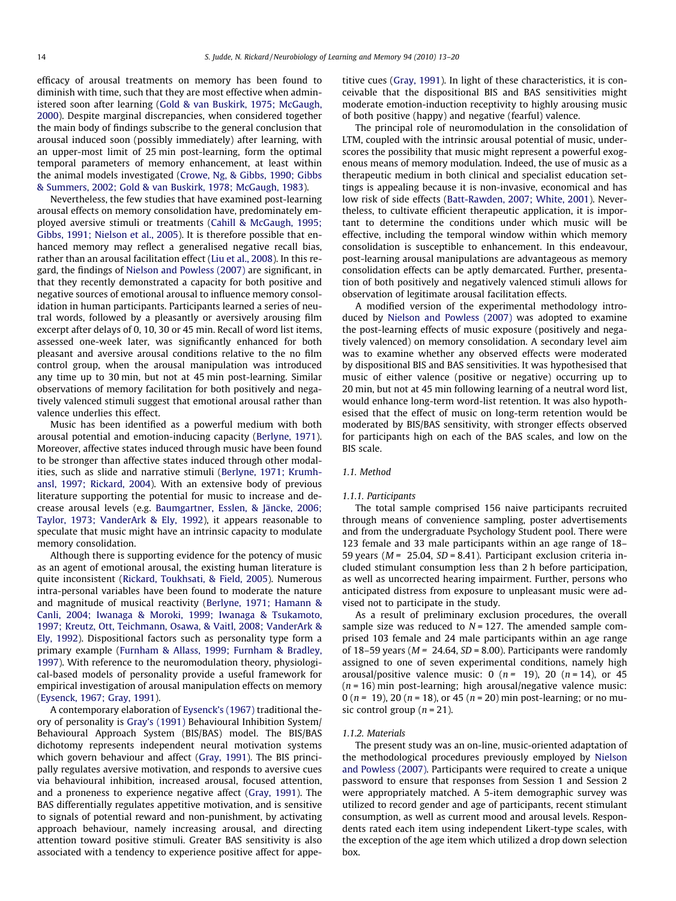efficacy of arousal treatments on memory has been found to diminish with time, such that they are most effective when administered soon after learning ([Gold & van Buskirk, 1975; McGaugh,](#page-6-0) [2000\)](#page-6-0). Despite marginal discrepancies, when considered together the main body of findings subscribe to the general conclusion that arousal induced soon (possibly immediately) after learning, with an upper-most limit of 25 min post-learning, form the optimal temporal parameters of memory enhancement, at least within the animal models investigated ([Crowe, Ng, & Gibbs, 1990; Gibbs](#page-6-0) [& Summers, 2002; Gold & van Buskirk, 1978; McGaugh, 1983\)](#page-6-0).

Nevertheless, the few studies that have examined post-learning arousal effects on memory consolidation have, predominately employed aversive stimuli or treatments [\(Cahill & McGaugh, 1995;](#page-6-0) [Gibbs, 1991; Nielson et al., 2005](#page-6-0)). It is therefore possible that enhanced memory may reflect a generalised negative recall bias, rather than an arousal facilitation effect [\(Liu et al., 2008](#page-6-0)). In this regard, the findings of [Nielson and Powless \(2007\)](#page-6-0) are significant, in that they recently demonstrated a capacity for both positive and negative sources of emotional arousal to influence memory consolidation in human participants. Participants learned a series of neutral words, followed by a pleasantly or aversively arousing film excerpt after delays of 0, 10, 30 or 45 min. Recall of word list items, assessed one-week later, was significantly enhanced for both pleasant and aversive arousal conditions relative to the no film control group, when the arousal manipulation was introduced any time up to 30 min, but not at 45 min post-learning. Similar observations of memory facilitation for both positively and negatively valenced stimuli suggest that emotional arousal rather than valence underlies this effect.

Music has been identified as a powerful medium with both arousal potential and emotion-inducing capacity [\(Berlyne, 1971\)](#page-6-0). Moreover, affective states induced through music have been found to be stronger than affective states induced through other modalities, such as slide and narrative stimuli [\(Berlyne, 1971; Krumh](#page-6-0)[ansl, 1997; Rickard, 2004\)](#page-6-0). With an extensive body of previous literature supporting the potential for music to increase and decrease arousal levels (e.g. [Baumgartner, Esslen, & Jäncke, 2006;](#page-6-0) [Taylor, 1973; VanderArk & Ely, 1992](#page-6-0)), it appears reasonable to speculate that music might have an intrinsic capacity to modulate memory consolidation.

Although there is supporting evidence for the potency of music as an agent of emotional arousal, the existing human literature is quite inconsistent [\(Rickard, Toukhsati, & Field, 2005](#page-6-0)). Numerous intra-personal variables have been found to moderate the nature and magnitude of musical reactivity ([Berlyne, 1971; Hamann &](#page-6-0) [Canli, 2004; Iwanaga & Moroki, 1999; Iwanaga & Tsukamoto,](#page-6-0) [1997; Kreutz, Ott, Teichmann, Osawa, & Vaitl, 2008; VanderArk &](#page-6-0) [Ely, 1992\)](#page-6-0). Dispositional factors such as personality type form a primary example ([Furnham & Allass, 1999; Furnham & Bradley,](#page-6-0) [1997\)](#page-6-0). With reference to the neuromodulation theory, physiological-based models of personality provide a useful framework for empirical investigation of arousal manipulation effects on memory ([Eysenck, 1967; Gray, 1991\)](#page-6-0).

A contemporary elaboration of [Eysenck's \(1967\)](#page-6-0) traditional theory of personality is [Gray's \(1991\)](#page-6-0) Behavioural Inhibition System/ Behavioural Approach System (BIS/BAS) model. The BIS/BAS dichotomy represents independent neural motivation systems which govern behaviour and affect [\(Gray, 1991\)](#page-6-0). The BIS principally regulates aversive motivation, and responds to aversive cues via behavioural inhibition, increased arousal, focused attention, and a proneness to experience negative affect [\(Gray, 1991](#page-6-0)). The BAS differentially regulates appetitive motivation, and is sensitive to signals of potential reward and non-punishment, by activating approach behaviour, namely increasing arousal, and directing attention toward positive stimuli. Greater BAS sensitivity is also associated with a tendency to experience positive affect for appetitive cues ([Gray, 1991](#page-6-0)). In light of these characteristics, it is conceivable that the dispositional BIS and BAS sensitivities might moderate emotion-induction receptivity to highly arousing music of both positive (happy) and negative (fearful) valence.

The principal role of neuromodulation in the consolidation of LTM, coupled with the intrinsic arousal potential of music, underscores the possibility that music might represent a powerful exogenous means of memory modulation. Indeed, the use of music as a therapeutic medium in both clinical and specialist education settings is appealing because it is non-invasive, economical and has low risk of side effects [\(Batt-Rawden, 2007; White, 2001](#page-6-0)). Nevertheless, to cultivate efficient therapeutic application, it is important to determine the conditions under which music will be effective, including the temporal window within which memory consolidation is susceptible to enhancement. In this endeavour, post-learning arousal manipulations are advantageous as memory consolidation effects can be aptly demarcated. Further, presentation of both positively and negatively valenced stimuli allows for observation of legitimate arousal facilitation effects.

A modified version of the experimental methodology introduced by [Nielson and Powless \(2007\)](#page-6-0) was adopted to examine the post-learning effects of music exposure (positively and negatively valenced) on memory consolidation. A secondary level aim was to examine whether any observed effects were moderated by dispositional BIS and BAS sensitivities. It was hypothesised that music of either valence (positive or negative) occurring up to 20 min, but not at 45 min following learning of a neutral word list, would enhance long-term word-list retention. It was also hypothesised that the effect of music on long-term retention would be moderated by BIS/BAS sensitivity, with stronger effects observed for participants high on each of the BAS scales, and low on the BIS scale.

## 1.1. Method

#### 1.1.1. Participants

The total sample comprised 156 naive participants recruited through means of convenience sampling, poster advertisements and from the undergraduate Psychology Student pool. There were 123 female and 33 male participants within an age range of 18– 59 years ( $M = 25.04$ ,  $SD = 8.41$ ). Participant exclusion criteria included stimulant consumption less than 2 h before participation, as well as uncorrected hearing impairment. Further, persons who anticipated distress from exposure to unpleasant music were advised not to participate in the study.

As a result of preliminary exclusion procedures, the overall sample size was reduced to  $N = 127$ . The amended sample comprised 103 female and 24 male participants within an age range of 18–59 years ( $M = 24.64$ ,  $SD = 8.00$ ). Participants were randomly assigned to one of seven experimental conditions, namely high arousal/positive valence music: 0 ( $n = 19$ ), 20 ( $n = 14$ ), or 45  $(n = 16)$  min post-learning; high arousal/negative valence music: 0 ( $n = 19$ ), 20 ( $n = 18$ ), or 45 ( $n = 20$ ) min post-learning; or no music control group ( $n = 21$ ).

## 1.1.2 Materials

The present study was an on-line, music-oriented adaptation of the methodological procedures previously employed by [Nielson](#page-6-0) [and Powless \(2007\).](#page-6-0) Participants were required to create a unique password to ensure that responses from Session 1 and Session 2 were appropriately matched. A 5-item demographic survey was utilized to record gender and age of participants, recent stimulant consumption, as well as current mood and arousal levels. Respondents rated each item using independent Likert-type scales, with the exception of the age item which utilized a drop down selection box.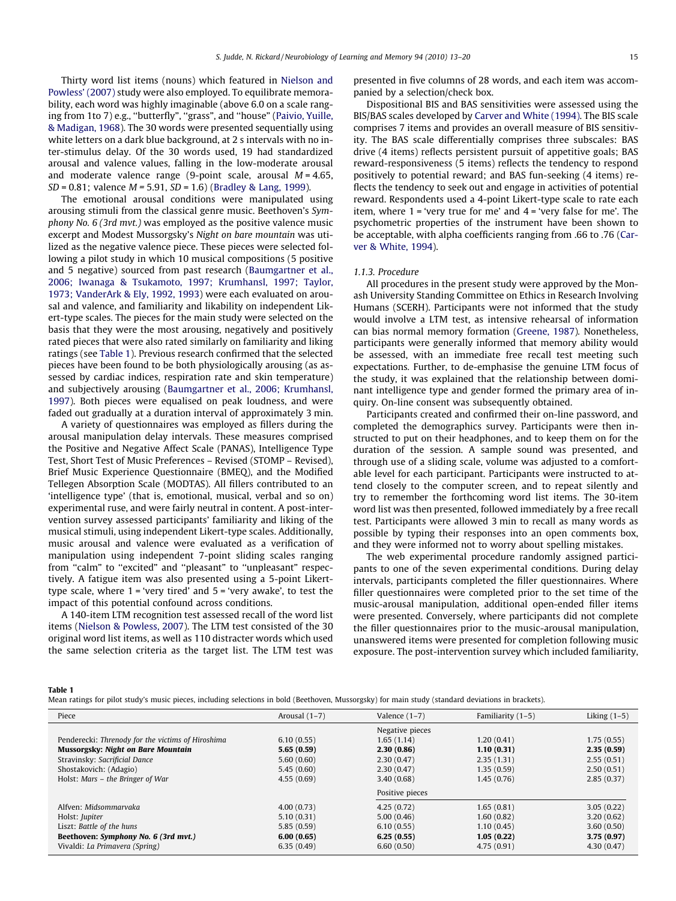Thirty word list items (nouns) which featured in [Nielson and](#page-6-0) [Powless' \(2007\)](#page-6-0) study were also employed. To equilibrate memorability, each word was highly imaginable (above 6.0 on a scale ranging from 1to 7) e.g., ''butterfly", ''grass", and ''house" [\(Paivio, Yuille,](#page-6-0) [& Madigan, 1968\)](#page-6-0). The 30 words were presented sequentially using white letters on a dark blue background, at 2 s intervals with no inter-stimulus delay. Of the 30 words used, 19 had standardized arousal and valence values, falling in the low-moderate arousal and moderate valence range (9-point scale, arousal  $M = 4.65$ ,  $SD = 0.81$ ; valence  $M = 5.91$ ,  $SD = 1.6$ ) [\(Bradley & Lang, 1999](#page-6-0)).

The emotional arousal conditions were manipulated using arousing stimuli from the classical genre music. Beethoven's Symphony No. 6 (3rd mvt.) was employed as the positive valence music excerpt and Modest Mussorgsky's Night on bare mountain was utilized as the negative valence piece. These pieces were selected following a pilot study in which 10 musical compositions (5 positive and 5 negative) sourced from past research [\(Baumgartner et al.,](#page-6-0) [2006; Iwanaga & Tsukamoto, 1997; Krumhansl, 1997; Taylor,](#page-6-0) [1973; VanderArk & Ely, 1992, 1993\)](#page-6-0) were each evaluated on arousal and valence, and familiarity and likability on independent Likert-type scales. The pieces for the main study were selected on the basis that they were the most arousing, negatively and positively rated pieces that were also rated similarly on familiarity and liking ratings (see Table 1). Previous research confirmed that the selected pieces have been found to be both physiologically arousing (as assessed by cardiac indices, respiration rate and skin temperature) and subjectively arousing ([Baumgartner et al., 2006; Krumhansl,](#page-6-0) [1997\)](#page-6-0). Both pieces were equalised on peak loudness, and were faded out gradually at a duration interval of approximately 3 min.

A variety of questionnaires was employed as fillers during the arousal manipulation delay intervals. These measures comprised the Positive and Negative Affect Scale (PANAS), Intelligence Type Test, Short Test of Music Preferences – Revised (STOMP – Revised), Brief Music Experience Questionnaire (BMEQ), and the Modified Tellegen Absorption Scale (MODTAS). All fillers contributed to an 'intelligence type' (that is, emotional, musical, verbal and so on) experimental ruse, and were fairly neutral in content. A post-intervention survey assessed participants' familiarity and liking of the musical stimuli, using independent Likert-type scales. Additionally, music arousal and valence were evaluated as a verification of manipulation using independent 7-point sliding scales ranging from "calm" to "excited" and "pleasant" to "unpleasant" respectively. A fatigue item was also presented using a 5-point Likerttype scale, where  $1$  = 'very tired' and  $5$  = 'very awake', to test the impact of this potential confound across conditions.

A 140-item LTM recognition test assessed recall of the word list items [\(Nielson & Powless, 2007](#page-6-0)). The LTM test consisted of the 30 original word list items, as well as 110 distracter words which used the same selection criteria as the target list. The LTM test was presented in five columns of 28 words, and each item was accompanied by a selection/check box.

Dispositional BIS and BAS sensitivities were assessed using the BIS/BAS scales developed by [Carver and White \(1994\).](#page-6-0) The BIS scale comprises 7 items and provides an overall measure of BIS sensitivity. The BAS scale differentially comprises three subscales: BAS drive (4 items) reflects persistent pursuit of appetitive goals; BAS reward-responsiveness (5 items) reflects the tendency to respond positively to potential reward; and BAS fun-seeking (4 items) reflects the tendency to seek out and engage in activities of potential reward. Respondents used a 4-point Likert-type scale to rate each item, where  $1$  = 'very true for me' and  $4$  = 'very false for me'. The psychometric properties of the instrument have been shown to be acceptable, with alpha coefficients ranging from .66 to .76 ([Car](#page-6-0)[ver & White, 1994](#page-6-0)).

#### 1.1.3. Procedure

All procedures in the present study were approved by the Monash University Standing Committee on Ethics in Research Involving Humans (SCERH). Participants were not informed that the study would involve a LTM test, as intensive rehearsal of information can bias normal memory formation ([Greene, 1987](#page-6-0)). Nonetheless, participants were generally informed that memory ability would be assessed, with an immediate free recall test meeting such expectations. Further, to de-emphasise the genuine LTM focus of the study, it was explained that the relationship between dominant intelligence type and gender formed the primary area of inquiry. On-line consent was subsequently obtained.

Participants created and confirmed their on-line password, and completed the demographics survey. Participants were then instructed to put on their headphones, and to keep them on for the duration of the session. A sample sound was presented, and through use of a sliding scale, volume was adjusted to a comfortable level for each participant. Participants were instructed to attend closely to the computer screen, and to repeat silently and try to remember the forthcoming word list items. The 30-item word list was then presented, followed immediately by a free recall test. Participants were allowed 3 min to recall as many words as possible by typing their responses into an open comments box, and they were informed not to worry about spelling mistakes.

The web experimental procedure randomly assigned participants to one of the seven experimental conditions. During delay intervals, participants completed the filler questionnaires. Where filler questionnaires were completed prior to the set time of the music-arousal manipulation, additional open-ended filler items were presented. Conversely, where participants did not complete the filler questionnaires prior to the music-arousal manipulation, unanswered items were presented for completion following music exposure. The post-intervention survey which included familiarity,

Table 1

|  |  |  |  |  |  |  | Mean ratings for pilot study's music pieces, including selections in bold (Beethoven, Mussorgsky) for main study (standard deviations in brackets). |
|--|--|--|--|--|--|--|-----------------------------------------------------------------------------------------------------------------------------------------------------|
|--|--|--|--|--|--|--|-----------------------------------------------------------------------------------------------------------------------------------------------------|

| Piece                                             | Arousal $(1-7)$ | Valence $(1-7)$ | Familiarity $(1-5)$ | Liking $(1-5)$ |
|---------------------------------------------------|-----------------|-----------------|---------------------|----------------|
|                                                   |                 | Negative pieces |                     |                |
| Penderecki: Threnody for the victims of Hiroshima | 6.10(0.55)      | 1.65(1.14)      | 1.20(0.41)          | 1.75(0.55)     |
| Mussorgsky: Night on Bare Mountain                | 5.65(0.59)      | 2.30(0.86)      | 1.10(0.31)          | 2.35(0.59)     |
| Stravinsky: Sacrificial Dance                     | 5.60(0.60)      | 2.30(0.47)      | 2.35(1.31)          | 2.55(0.51)     |
| Shostakovich: (Adagio)                            | 5.45(0.60)      | 2.30(0.47)      | 1.35(0.59)          | 2.50(0.51)     |
| Holst: Mars - the Bringer of War                  | 4.55(0.69)      | 3.40(0.68)      | 1.45(0.76)          | 2.85(0.37)     |
|                                                   |                 | Positive pieces |                     |                |
| Alfven: Midsommarvaka                             | 4.00(0.73)      | 4.25(0.72)      | 1.65(0.81)          | 3.05(0.22)     |
| Holst: Jupiter                                    | 5.10(0.31)      | 5.00(0.46)      | 1.60(0.82)          | 3.20(0.62)     |
| Liszt: Battle of the huns                         | 5.85(0.59)      | 6.10(0.55)      | 1.10(0.45)          | 3.60(0.50)     |
| Beethoven: Symphony No. 6 (3rd mvt.)              | 6.00(0.65)      | 6.25(0.55)      | 1.05(0.22)          | 3.75(0.97)     |
| Vivaldi: La Primavera (Spring)                    | 6.35(0.49)      | 6.60(0.50)      | 4.75(0.91)          | 4.30(0.47)     |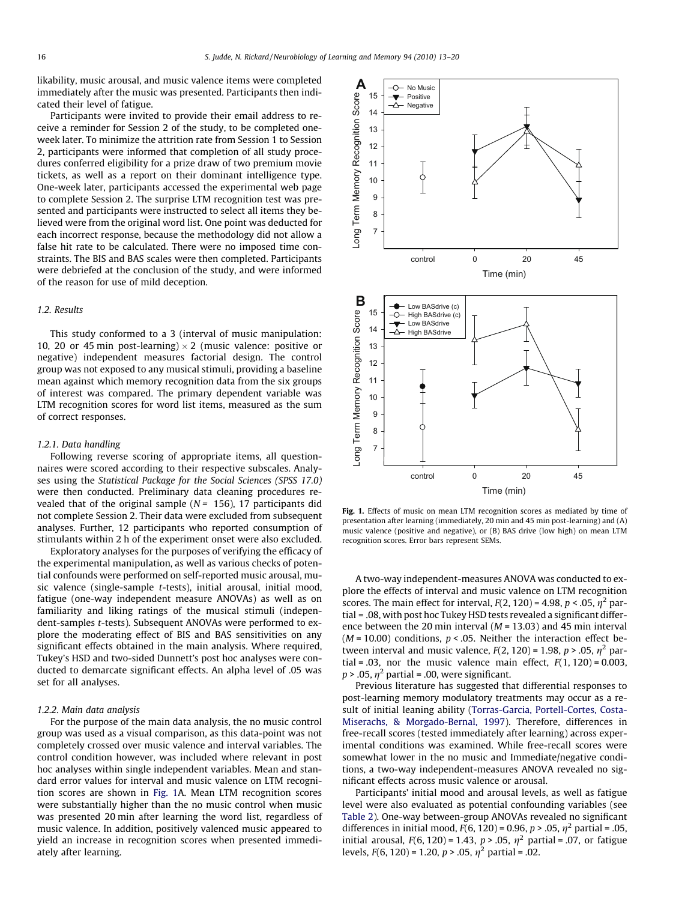<span id="page-3-0"></span>likability, music arousal, and music valence items were completed immediately after the music was presented. Participants then indicated their level of fatigue.

Participants were invited to provide their email address to receive a reminder for Session 2 of the study, to be completed oneweek later. To minimize the attrition rate from Session 1 to Session 2, participants were informed that completion of all study procedures conferred eligibility for a prize draw of two premium movie tickets, as well as a report on their dominant intelligence type. One-week later, participants accessed the experimental web page to complete Session 2. The surprise LTM recognition test was presented and participants were instructed to select all items they believed were from the original word list. One point was deducted for each incorrect response, because the methodology did not allow a false hit rate to be calculated. There were no imposed time constraints. The BIS and BAS scales were then completed. Participants were debriefed at the conclusion of the study, and were informed of the reason for use of mild deception.

## 1.2. Results

This study conformed to a 3 (interval of music manipulation: 10, 20 or 45 min post-learning)  $\times$  2 (music valence: positive or negative) independent measures factorial design. The control group was not exposed to any musical stimuli, providing a baseline mean against which memory recognition data from the six groups of interest was compared. The primary dependent variable was LTM recognition scores for word list items, measured as the sum of correct responses.

#### 1.2.1. Data handling

Following reverse scoring of appropriate items, all questionnaires were scored according to their respective subscales. Analyses using the Statistical Package for the Social Sciences (SPSS 17.0) were then conducted. Preliminary data cleaning procedures revealed that of the original sample ( $N = 156$ ), 17 participants did not complete Session 2. Their data were excluded from subsequent analyses. Further, 12 participants who reported consumption of stimulants within 2 h of the experiment onset were also excluded.

Exploratory analyses for the purposes of verifying the efficacy of the experimental manipulation, as well as various checks of potential confounds were performed on self-reported music arousal, music valence (single-sample t-tests), initial arousal, initial mood, fatigue (one-way independent measure ANOVAs) as well as on familiarity and liking ratings of the musical stimuli (independent-samples t-tests). Subsequent ANOVAs were performed to explore the moderating effect of BIS and BAS sensitivities on any significant effects obtained in the main analysis. Where required, Tukey's HSD and two-sided Dunnett's post hoc analyses were conducted to demarcate significant effects. An alpha level of .05 was set for all analyses.

#### 1.2.2. Main data analysis

For the purpose of the main data analysis, the no music control group was used as a visual comparison, as this data-point was not completely crossed over music valence and interval variables. The control condition however, was included where relevant in post hoc analyses within single independent variables. Mean and standard error values for interval and music valence on LTM recognition scores are shown in Fig. 1A. Mean LTM recognition scores were substantially higher than the no music control when music was presented 20 min after learning the word list, regardless of music valence. In addition, positively valenced music appeared to yield an increase in recognition scores when presented immediately after learning.



Fig. 1. Effects of music on mean LTM recognition scores as mediated by time of presentation after learning (immediately, 20 min and 45 min post-learning) and (A) music valence (positive and negative), or (B) BAS drive (low high) on mean LTM recognition scores. Error bars represent SEMs.

A two-way independent-measures ANOVA was conducted to explore the effects of interval and music valence on LTM recognition scores. The main effect for interval,  $F(2, 120) = 4.98$ ,  $p < .05$ ,  $\eta^2$  partial = .08, with post hoc Tukey HSD tests revealed a significant difference between the 20 min interval ( $M = 13.03$ ) and 45 min interval ( $M = 10.00$ ) conditions,  $p < .05$ . Neither the interaction effect between interval and music valence,  $F(2, 120)$  = 1.98, p > .05,  $\eta^2$  partial = .03, nor the music valence main effect,  $F(1, 120) = 0.003$ ,  $p > .05$ ,  $\eta^2$  partial = .00, were significant.

Previous literature has suggested that differential responses to post-learning memory modulatory treatments may occur as a result of initial leaning ability ([Torras-Garcia, Portell-Cortes, Costa-](#page-7-0)[Miserachs, & Morgado-Bernal, 1997](#page-7-0)). Therefore, differences in free-recall scores (tested immediately after learning) across experimental conditions was examined. While free-recall scores were somewhat lower in the no music and Immediate/negative conditions, a two-way independent-measures ANOVA revealed no significant effects across music valence or arousal.

Participants' initial mood and arousal levels, as well as fatigue level were also evaluated as potential confounding variables (see [Table 2](#page-4-0)). One-way between-group ANOVAs revealed no significant differences in initial mood,  $F(6, 120) = 0.96$ ,  $p > .05$ ,  $\eta^2$  partial = .05, initial arousal,  $F(6, 120) = 1.43$ ,  $p > .05$ ,  $\eta^2$  partial = .07, or fatigue levels,  $F(6, 120) = 1.20$ ,  $p > .05$ ,  $\eta^2$  partial = .02.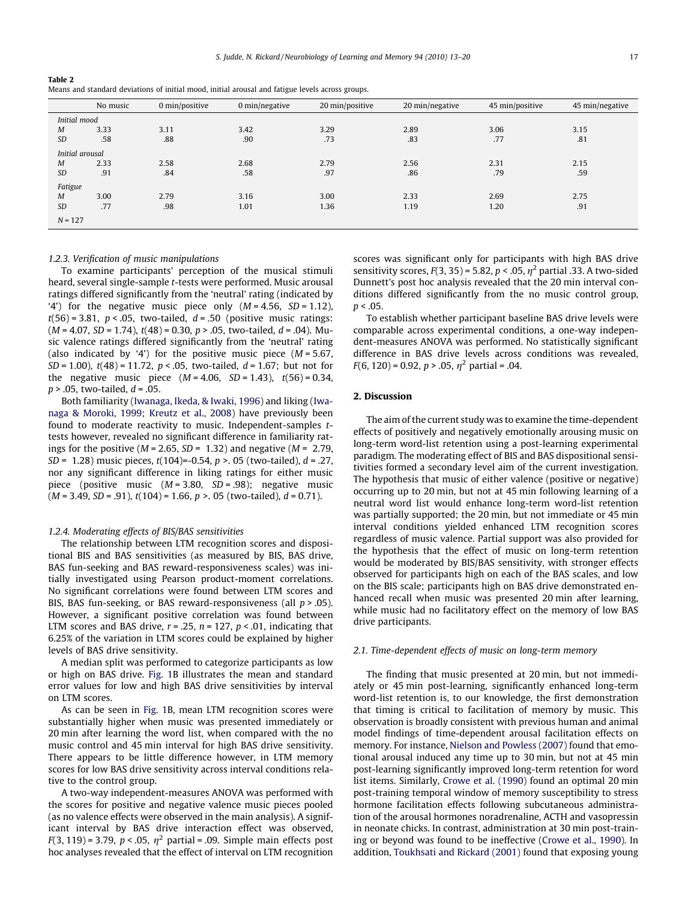<span id="page-4-0"></span>

| Table 2                                                                                          |
|--------------------------------------------------------------------------------------------------|
| Means and standard deviations of initial mood, initial arousal and fatigue levels across groups. |

|                  | No music | 0 min/positive | 0 min/negative | 20 min/positive | 20 min/negative | 45 min/positive | 45 min/negative |
|------------------|----------|----------------|----------------|-----------------|-----------------|-----------------|-----------------|
| Initial mood     |          |                |                |                 |                 |                 |                 |
| M                | 3.33     | 3.11           | 3.42           | 3.29            | 2.89            | 3.06            | 3.15            |
| SD               | .58      | .88            | .90            | .73             | .83             | .77             | .81             |
| Initial arousal  |          |                |                |                 |                 |                 |                 |
| M                | 2.33     | 2.58           | 2.68           | 2.79            | 2.56            | 2.31            | 2.15            |
| <b>SD</b>        | .91      | .84            | .58            | .97             | .86             | .79             | .59             |
| Fatigue          |          |                |                |                 |                 |                 |                 |
| $\boldsymbol{M}$ | 3.00     | 2.79           | 3.16           | 3.00            | 2.33            | 2.69            | 2.75            |
| <b>SD</b>        | .77      | .98            | 1.01           | 1.36            | 1.19            | 1.20            | .91             |
| $N = 127$        |          |                |                |                 |                 |                 |                 |

## 1.2.3. Verification of music manipulations

To examine participants' perception of the musical stimuli heard, several single-sample t-tests were performed. Music arousal ratings differed significantly from the 'neutral' rating (indicated by '4') for the negative music piece only  $(M = 4.56, SD = 1.12)$ ,  $t(56) = 3.81$ ,  $p < .05$ , two-tailed,  $d = .50$  (positive music ratings:  $(M = 4.07, SD = 1.74), t(48) = 0.30, p > .05$ , two-tailed,  $d = .04$ ). Music valence ratings differed significantly from the 'neutral' rating (also indicated by '4') for the positive music piece  $(M = 5.67$ , SD = 1.00),  $t(48)$  = 11.72,  $p < .05$ , two-tailed,  $d = 1.67$ ; but not for the negative music piece  $(M = 4.06, SD = 1.43)$ ,  $t(56) = 0.34$ ,  $p > .05$ , two-tailed,  $d = .05$ .

Both familiarity [\(Iwanaga, Ikeda, & Iwaki, 1996](#page-6-0)) and liking [\(Iwa](#page-6-0)[naga & Moroki, 1999; Kreutz et al., 2008](#page-6-0)) have previously been found to moderate reactivity to music. Independent-samples ttests however, revealed no significant difference in familiarity ratings for the positive ( $M = 2.65$ ,  $SD = 1.32$ ) and negative ( $M = 2.79$ , SD = 1.28) music pieces,  $t(104) = -0.54$ ,  $p > 0.5$  (two-tailed),  $d = 0.27$ , nor any significant difference in liking ratings for either music piece (positive music  $(M = 3.80, SD = .98)$ ; negative music  $(M = 3.49, SD = .91)$ ,  $t(104) = 1.66$ ,  $p > .05$  (two-tailed),  $d = 0.71$ ).

#### 1.2.4. Moderating effects of BIS/BAS sensitivities

The relationship between LTM recognition scores and dispositional BIS and BAS sensitivities (as measured by BIS, BAS drive, BAS fun-seeking and BAS reward-responsiveness scales) was initially investigated using Pearson product-moment correlations. No significant correlations were found between LTM scores and BIS, BAS fun-seeking, or BAS reward-responsiveness (all  $p > .05$ ). However, a significant positive correlation was found between LTM scores and BAS drive,  $r = 0.25$ ,  $n = 127$ ,  $p < 0.01$ , indicating that 6.25% of the variation in LTM scores could be explained by higher levels of BAS drive sensitivity.

A median split was performed to categorize participants as low or high on BAS drive. [Fig. 1](#page-3-0)B illustrates the mean and standard error values for low and high BAS drive sensitivities by interval on LTM scores.

As can be seen in [Fig. 1B](#page-3-0), mean LTM recognition scores were substantially higher when music was presented immediately or 20 min after learning the word list, when compared with the no music control and 45 min interval for high BAS drive sensitivity. There appears to be little difference however, in LTM memory scores for low BAS drive sensitivity across interval conditions relative to the control group.

A two-way independent-measures ANOVA was performed with the scores for positive and negative valence music pieces pooled (as no valence effects were observed in the main analysis). A significant interval by BAS drive interaction effect was observed,  $F(3, 119) = 3.79$ ,  $p < .05$ ,  $\eta^2$  partial = .09. Simple main effects post hoc analyses revealed that the effect of interval on LTM recognition scores was significant only for participants with high BAS drive sensitivity scores,  $F(3, 35) = 5.82$ ,  $p < .05$ ,  $n^2$  partial .33. A two-sided Dunnett's post hoc analysis revealed that the 20 min interval conditions differed significantly from the no music control group,  $p < .05$ .

To establish whether participant baseline BAS drive levels were comparable across experimental conditions, a one-way independent-measures ANOVA was performed. No statistically significant difference in BAS drive levels across conditions was revealed,  $F(6, 120) = 0.92$ ,  $p > .05$ ,  $\eta^2$  partial = .04.

## 2. Discussion

The aim of the current study was to examine the time-dependent effects of positively and negatively emotionally arousing music on long-term word-list retention using a post-learning experimental paradigm. The moderating effect of BIS and BAS dispositional sensitivities formed a secondary level aim of the current investigation. The hypothesis that music of either valence (positive or negative) occurring up to 20 min, but not at 45 min following learning of a neutral word list would enhance long-term word-list retention was partially supported; the 20 min, but not immediate or 45 min interval conditions yielded enhanced LTM recognition scores regardless of music valence. Partial support was also provided for the hypothesis that the effect of music on long-term retention would be moderated by BIS/BAS sensitivity, with stronger effects observed for participants high on each of the BAS scales, and low on the BIS scale; participants high on BAS drive demonstrated enhanced recall when music was presented 20 min after learning, while music had no facilitatory effect on the memory of low BAS drive participants.

## 2.1. Time-dependent effects of music on long-term memory

The finding that music presented at 20 min, but not immediately or 45 min post-learning, significantly enhanced long-term word-list retention is, to our knowledge, the first demonstration that timing is critical to facilitation of memory by music. This observation is broadly consistent with previous human and animal model findings of time-dependent arousal facilitation effects on memory. For instance, [Nielson and Powless \(2007\)](#page-6-0) found that emotional arousal induced any time up to 30 min, but not at 45 min post-learning significantly improved long-term retention for word list items. Similarly, [Crowe et al. \(1990\)](#page-6-0) found an optimal 20 min post-training temporal window of memory susceptibility to stress hormone facilitation effects following subcutaneous administration of the arousal hormones noradrenaline, ACTH and vasopressin in neonate chicks. In contrast, administration at 30 min post-training or beyond was found to be ineffective ([Crowe et al., 1990](#page-6-0)). In addition, [Toukhsati and Rickard \(2001\)](#page-7-0) found that exposing young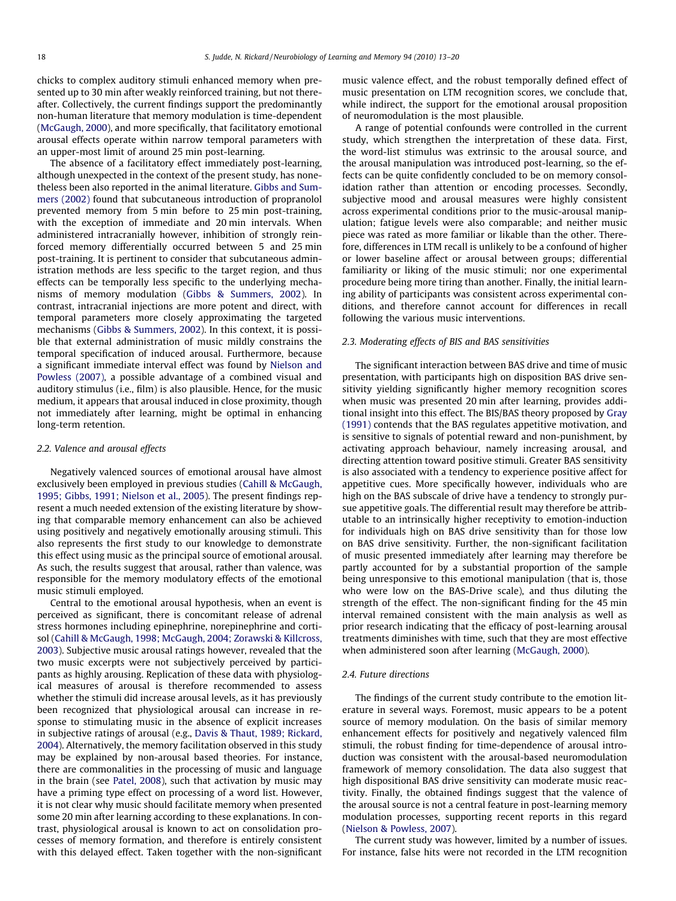chicks to complex auditory stimuli enhanced memory when presented up to 30 min after weakly reinforced training, but not thereafter. Collectively, the current findings support the predominantly non-human literature that memory modulation is time-dependent ([McGaugh, 2000](#page-6-0)), and more specifically, that facilitatory emotional arousal effects operate within narrow temporal parameters with an upper-most limit of around 25 min post-learning.

The absence of a facilitatory effect immediately post-learning, although unexpected in the context of the present study, has nonetheless been also reported in the animal literature. [Gibbs and Sum](#page-6-0)[mers \(2002\)](#page-6-0) found that subcutaneous introduction of propranolol prevented memory from 5 min before to 25 min post-training, with the exception of immediate and 20 min intervals. When administered intracranially however, inhibition of strongly reinforced memory differentially occurred between 5 and 25 min post-training. It is pertinent to consider that subcutaneous administration methods are less specific to the target region, and thus effects can be temporally less specific to the underlying mechanisms of memory modulation [\(Gibbs & Summers, 2002](#page-6-0)). In contrast, intracranial injections are more potent and direct, with temporal parameters more closely approximating the targeted mechanisms ([Gibbs & Summers, 2002\)](#page-6-0). In this context, it is possible that external administration of music mildly constrains the temporal specification of induced arousal. Furthermore, because a significant immediate interval effect was found by [Nielson and](#page-6-0) [Powless \(2007\),](#page-6-0) a possible advantage of a combined visual and auditory stimulus (i.e., film) is also plausible. Hence, for the music medium, it appears that arousal induced in close proximity, though not immediately after learning, might be optimal in enhancing long-term retention.

## 2.2. Valence and arousal effects

Negatively valenced sources of emotional arousal have almost exclusively been employed in previous studies [\(Cahill & McGaugh,](#page-6-0) [1995; Gibbs, 1991; Nielson et al., 2005](#page-6-0)). The present findings represent a much needed extension of the existing literature by showing that comparable memory enhancement can also be achieved using positively and negatively emotionally arousing stimuli. This also represents the first study to our knowledge to demonstrate this effect using music as the principal source of emotional arousal. As such, the results suggest that arousal, rather than valence, was responsible for the memory modulatory effects of the emotional music stimuli employed.

Central to the emotional arousal hypothesis, when an event is perceived as significant, there is concomitant release of adrenal stress hormones including epinephrine, norepinephrine and cortisol [\(Cahill & McGaugh, 1998; McGaugh, 2004; Zorawski & Killcross,](#page-6-0) [2003\)](#page-6-0). Subjective music arousal ratings however, revealed that the two music excerpts were not subjectively perceived by participants as highly arousing. Replication of these data with physiological measures of arousal is therefore recommended to assess whether the stimuli did increase arousal levels, as it has previously been recognized that physiological arousal can increase in response to stimulating music in the absence of explicit increases in subjective ratings of arousal (e.g., [Davis & Thaut, 1989; Rickard,](#page-6-0) [2004\)](#page-6-0). Alternatively, the memory facilitation observed in this study may be explained by non-arousal based theories. For instance, there are commonalities in the processing of music and language in the brain (see [Patel, 2008](#page-6-0)), such that activation by music may have a priming type effect on processing of a word list. However, it is not clear why music should facilitate memory when presented some 20 min after learning according to these explanations. In contrast, physiological arousal is known to act on consolidation processes of memory formation, and therefore is entirely consistent with this delayed effect. Taken together with the non-significant music valence effect, and the robust temporally defined effect of music presentation on LTM recognition scores, we conclude that, while indirect, the support for the emotional arousal proposition of neuromodulation is the most plausible.

A range of potential confounds were controlled in the current study, which strengthen the interpretation of these data. First, the word-list stimulus was extrinsic to the arousal source, and the arousal manipulation was introduced post-learning, so the effects can be quite confidently concluded to be on memory consolidation rather than attention or encoding processes. Secondly, subjective mood and arousal measures were highly consistent across experimental conditions prior to the music-arousal manipulation; fatigue levels were also comparable; and neither music piece was rated as more familiar or likable than the other. Therefore, differences in LTM recall is unlikely to be a confound of higher or lower baseline affect or arousal between groups; differential familiarity or liking of the music stimuli; nor one experimental procedure being more tiring than another. Finally, the initial learning ability of participants was consistent across experimental conditions, and therefore cannot account for differences in recall following the various music interventions.

## 2.3. Moderating effects of BIS and BAS sensitivities

The significant interaction between BAS drive and time of music presentation, with participants high on disposition BAS drive sensitivity yielding significantly higher memory recognition scores when music was presented 20 min after learning, provides additional insight into this effect. The BIS/BAS theory proposed by [Gray](#page-6-0) [\(1991\)](#page-6-0) contends that the BAS regulates appetitive motivation, and is sensitive to signals of potential reward and non-punishment, by activating approach behaviour, namely increasing arousal, and directing attention toward positive stimuli. Greater BAS sensitivity is also associated with a tendency to experience positive affect for appetitive cues. More specifically however, individuals who are high on the BAS subscale of drive have a tendency to strongly pursue appetitive goals. The differential result may therefore be attributable to an intrinsically higher receptivity to emotion-induction for individuals high on BAS drive sensitivity than for those low on BAS drive sensitivity. Further, the non-significant facilitation of music presented immediately after learning may therefore be partly accounted for by a substantial proportion of the sample being unresponsive to this emotional manipulation (that is, those who were low on the BAS-Drive scale), and thus diluting the strength of the effect. The non-significant finding for the 45 min interval remained consistent with the main analysis as well as prior research indicating that the efficacy of post-learning arousal treatments diminishes with time, such that they are most effective when administered soon after learning ([McGaugh, 2000\)](#page-6-0).

#### 2.4. Future directions

The findings of the current study contribute to the emotion literature in several ways. Foremost, music appears to be a potent source of memory modulation. On the basis of similar memory enhancement effects for positively and negatively valenced film stimuli, the robust finding for time-dependence of arousal introduction was consistent with the arousal-based neuromodulation framework of memory consolidation. The data also suggest that high dispositional BAS drive sensitivity can moderate music reactivity. Finally, the obtained findings suggest that the valence of the arousal source is not a central feature in post-learning memory modulation processes, supporting recent reports in this regard ([Nielson & Powless, 2007\)](#page-6-0).

The current study was however, limited by a number of issues. For instance, false hits were not recorded in the LTM recognition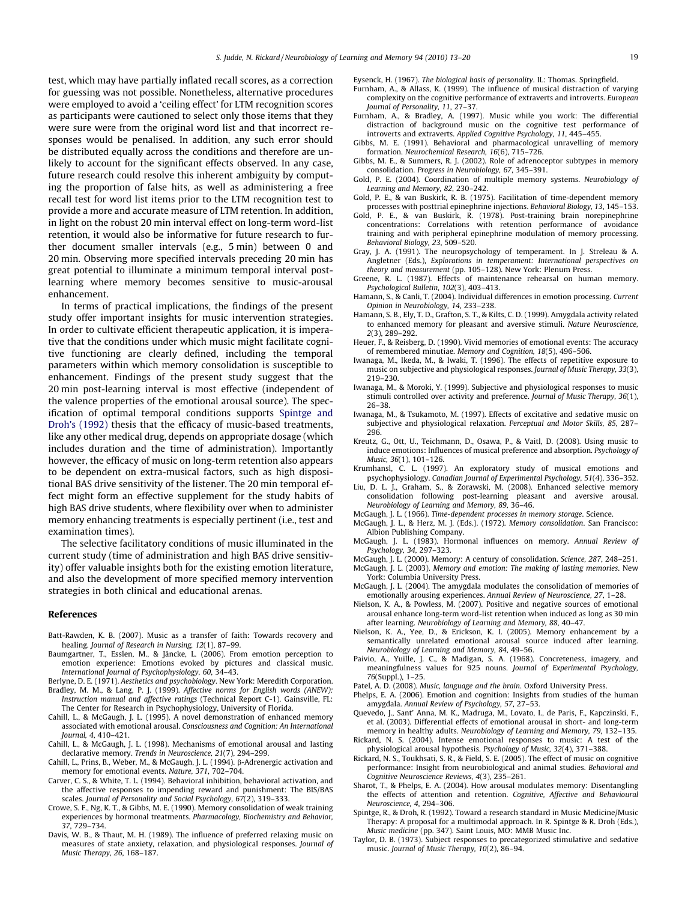<span id="page-6-0"></span>test, which may have partially inflated recall scores, as a correction for guessing was not possible. Nonetheless, alternative procedures were employed to avoid a 'ceiling effect' for LTM recognition scores as participants were cautioned to select only those items that they were sure were from the original word list and that incorrect responses would be penalised. In addition, any such error should be distributed equally across the conditions and therefore are unlikely to account for the significant effects observed. In any case, future research could resolve this inherent ambiguity by computing the proportion of false hits, as well as administering a free recall test for word list items prior to the LTM recognition test to provide a more and accurate measure of LTM retention. In addition, in light on the robust 20 min interval effect on long-term word-list retention, it would also be informative for future research to further document smaller intervals (e.g., 5 min) between 0 and 20 min. Observing more specified intervals preceding 20 min has great potential to illuminate a minimum temporal interval postlearning where memory becomes sensitive to music-arousal enhancement.

In terms of practical implications, the findings of the present study offer important insights for music intervention strategies. In order to cultivate efficient therapeutic application, it is imperative that the conditions under which music might facilitate cognitive functioning are clearly defined, including the temporal parameters within which memory consolidation is susceptible to enhancement. Findings of the present study suggest that the 20 min post-learning interval is most effective (independent of the valence properties of the emotional arousal source). The specification of optimal temporal conditions supports Spintge and Droh's (1992) thesis that the efficacy of music-based treatments, like any other medical drug, depends on appropriate dosage (which includes duration and the time of administration). Importantly however, the efficacy of music on long-term retention also appears to be dependent on extra-musical factors, such as high dispositional BAS drive sensitivity of the listener. The 20 min temporal effect might form an effective supplement for the study habits of high BAS drive students, where flexibility over when to administer memory enhancing treatments is especially pertinent (i.e., test and examination times).

The selective facilitatory conditions of music illuminated in the current study (time of administration and high BAS drive sensitivity) offer valuable insights both for the existing emotion literature, and also the development of more specified memory intervention strategies in both clinical and educational arenas.

#### References

- Batt-Rawden, K. B. (2007). Music as a transfer of faith: Towards recovery and healing. Journal of Research in Nursing, 12(1), 87–99.
- Baumgartner, T., Esslen, M., & Jäncke, L. (2006). From emotion perception to emotion experience: Emotions evoked by pictures and classical music. International Journal of Psychophysiology, 60, 34–43.

Berlyne, D. E. (1971). Aesthetics and psychobiology. New York: Meredith Corporation.

- Bradley, M. M., & Lang, P. J. (1999). Affective norms for English words (ANEW): Instruction manual and affective ratings (Technical Report C-1). Gainsville, FL: The Center for Research in Psychophysiology, University of Florida.
- Cahill, L., & McGaugh, J. L. (1995). A novel demonstration of enhanced memory associated with emotional arousal. Consciousness and Cognition: An International Journal, 4, 410–421.
- Cahill, L., & McGaugh, J. L. (1998). Mechanisms of emotional arousal and lasting declarative memory. Trends in Neuroscience, 21(7), 294–299.
- Cahill, L., Prins, B., Weber, M., & McGaugh, J. L. (1994). β-Adrenergic activation and memory for emotional events. Nature, 371, 702–704.
- Carver, C. S., & White, T. L. (1994). Behavioral inhibition, behavioral activation, and the affective responses to impending reward and punishment: The BIS/BAS scales. Journal of Personality and Social Psychology, 67(2), 319–333.
- Crowe, S. F., Ng, K. T., & Gibbs, M. E. (1990). Memory consolidation of weak training experiences by hormonal treatments. Pharmacology, Biochemistry and Behavior, 37, 729–734.
- Davis, W. B., & Thaut, M. H. (1989). The influence of preferred relaxing music on measures of state anxiety, relaxation, and physiological responses. Journal of Music Therapy, 26, 168–187.

Eysenck, H. (1967). The biological basis of personality. IL: Thomas. Springfield.

- Furnham, A., & Allass, K. (1999). The influence of musical distraction of varying complexity on the cognitive performance of extraverts and introverts. European Journal of Personality, 11, 27–37.
- Furnham, A., & Bradley, A. (1997). Music while you work: The differential distraction of background music on the cognitive test performance of introverts and extraverts. Applied Cognitive Psychology, 11, 445–455.
- Gibbs, M. E. (1991). Behavioral and pharmacological unravelling of memory formation. Neurochemical Research, 16(6), 715–726.
- Gibbs, M. E., & Summers, R. J. (2002). Role of adrenoceptor subtypes in memory consolidation. Progress in Neurobiology, 67, 345–391.
- Gold, P. E. (2004). Coordination of multiple memory systems. Neurobiology of Learning and Memory, 82, 230–242.
- Gold, P. E., & van Buskirk, R. B. (1975). Facilitation of time-dependent memory processes with posttrial epinephrine injections. Behavioral Biology, 13, 145–153.
- Gold, P. E., & van Buskirk, R. (1978). Post-training brain norepinephrine concentrations: Correlations with retention performance of avoidance training and with peripheral epinephrine modulation of memory processing. Behavioral Biology, 23, 509–520.
- Gray, J. A. (1991). The neuropsychology of temperament. In J. Streleau & A. Angletner (Eds.), Explorations in temperament: International perspectives on theory and measurement (pp. 105–128). New York: Plenum Press.
- Greene, R. L. (1987). Effects of maintenance rehearsal on human memory. Psychological Bulletin, 102(3), 403–413.
- Hamann, S., & Canli, T. (2004). Individual differences in emotion processing. Current Opinion in Neurobiology, 14, 233–238.
- Hamann, S. B., Ely, T. D., Grafton, S. T., & Kilts, C. D. (1999). Amygdala activity related to enhanced memory for pleasant and aversive stimuli. Nature Neuroscience, 2(3), 289–292.
- Heuer, F., & Reisberg, D. (1990). Vivid memories of emotional events: The accuracy of remembered minutiae. Memory and Cognition, 18(5), 496–506.
- Iwanaga, M., Ikeda, M., & Iwaki, T. (1996). The effects of repetitive exposure to music on subjective and physiological responses. Journal of Music Therapy, 33(3), 219–230.
- Iwanaga, M., & Moroki, Y. (1999). Subjective and physiological responses to music stimuli controlled over activity and preference. Journal of Music Therapy, 36(1), 26–38.
- Iwanaga, M., & Tsukamoto, M. (1997). Effects of excitative and sedative music on subjective and physiological relaxation. Perceptual and Motor Skills, 85, 287– 296.
- Kreutz, G., Ott, U., Teichmann, D., Osawa, P., & Vaitl, D. (2008). Using music to induce emotions: Influences of musical preference and absorption. Psychology of Music, 36(1), 101–126.
- Krumhansl, C. L. (1997). An exploratory study of musical emotions and psychophysiology. Canadian Journal of Experimental Psychology, 51(4), 336–352.
- Liu, D. L. J., Graham, S., & Zorawski, M. (2008). Enhanced selective memory consolidation following post-learning pleasant and aversive arousal. Neurobiology of Learning and Memory, 89, 36–46.
- McGaugh, J. L. (1966). Time-dependent processes in memory storage. Science.
- McGaugh, J. L., & Herz, M. J. (Eds.). (1972). Memory consolidation. San Francisco: Albion Publishing Company.
- McGaugh, J. L. (1983). Hormonal influences on memory. Annual Review of Psychology, 34, 297–323.
- McGaugh, J. L. (2000). Memory: A century of consolidation. Science, 287, 248–251. McGaugh, J. L. (2003). Memory and emotion: The making of lasting memories. New York: Columbia University Press.
- McGaugh, J. L. (2004). The amygdala modulates the consolidation of memories of emotionally arousing experiences. Annual Review of Neuroscience, 27, 1–28.
- Nielson, K. A., & Powless, M. (2007). Positive and negative sources of emotional arousal enhance long-term word-list retention when induced as long as 30 min after learning. Neurobiology of Learning and Memory, 88, 40–47.
- Nielson, K. A., Yee, D., & Erickson, K. I. (2005). Memory enhancement by a semantically unrelated emotional arousal source induced after learning. Neurobiology of Learning and Memory, 84, 49–56.
- Paivio, A., Yuille, J. C., & Madigan, S. A. (1968). Concreteness, imagery, and meaningfulness values for 925 nouns. Journal of Experimental Psychology, 76(Suppl.), 1–25.
- Patel, A. D. (2008). Music, language and the brain. Oxford University Press.
- Phelps, E. A. (2006). Emotion and cognition: Insights from studies of the human amygdala. Annual Review of Psychology, 57, 27–53.
- Quevedo, J., Sant' Anna, M. K., Madruga, M., Lovato, I., de Paris, F., Kapczinski, F., et al. (2003). Differential effects of emotional arousal in short- and long-term memory in healthy adults. Neurobiology of Learning and Memory, 79, 132–135.
- Rickard, N. S. (2004). Intense emotional responses to music: A test of the physiological arousal hypothesis. Psychology of Music, 32(4), 371–388.
- Rickard, N. S., Toukhsati, S. R., & Field, S. E. (2005). The effect of music on cognitive performance: Insight from neurobiological and animal studies. Behavioral and Cognitive Neuroscience Reviews, 4(3), 235–261.
- Sharot, T., & Phelps, E. A. (2004). How arousal modulates memory: Disentangling the effects of attention and retention. Cognitive, Affective and Behavioural Neuroscience, 4, 294–306.
- Spintge, R., & Droh, R. (1992). Toward a research standard in Music Medicine/Music Therapy: A proposal for a multimodal approach. In R. Spintge & R. Droh (Eds.), Music medicine (pp. 347). Saint Louis, MO: MMB Music Inc.
- Taylor, D. B. (1973). Subject responses to precategorized stimulative and sedative music. Journal of Music Therapy, 10(2), 86–94.